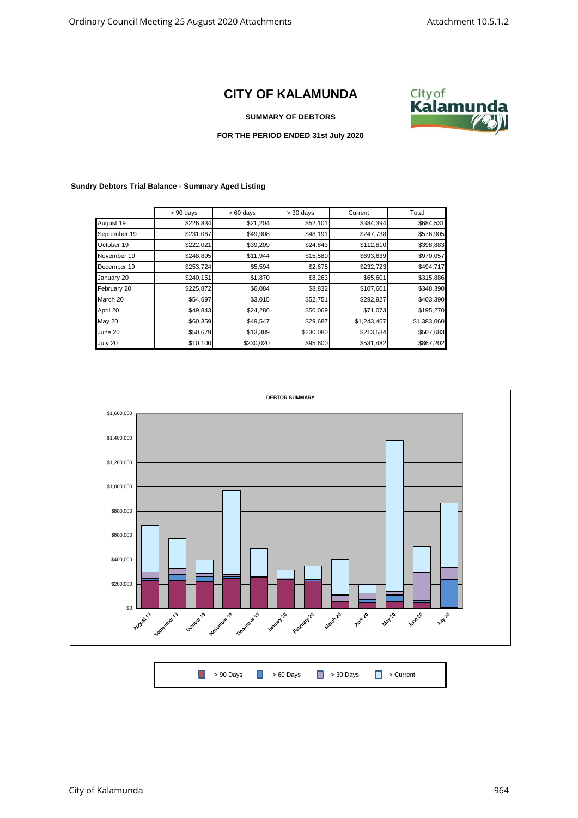## **CITY OF KALAMUNDA**



**SUMMARY OF DEBTORS**

## **FOR THE PERIOD ENDED 31st July 2020**

## **Sundry Debtors Trial Balance - Summary Aged Listing**

|              | $> 90$ days | $>60$ days | $> 30$ days | Current     | Total       |
|--------------|-------------|------------|-------------|-------------|-------------|
| August 19    | \$226,834   | \$21,204   | \$52,101    | \$384,394   | \$684,531   |
| September 19 | \$231,067   | \$49,908   | \$48,191    | \$247,738   | \$576,905   |
| October 19   | \$222,021   | \$39,209   | \$24,843    | \$112,810   | \$398,883   |
| November 19  | \$248,895   | \$11,944   | \$15,580    | \$693,639   | \$970,057   |
| December 19  | \$253,724   | \$5,594    | \$2,675     | \$232,723   | \$494,717   |
| January 20   | \$240,151   | \$1,870    | \$8,263     | \$65,601    | \$315,886   |
| February 20  | \$225,872   | \$6,084    | \$8,832     | \$107,601   | \$348,390   |
| March 20     | \$54,697    | \$3,015    | \$52,751    | \$292,927   | \$403,390   |
| April 20     | \$49,843    | \$24,286   | \$50,069    | \$71,073    | \$195,270   |
| May 20       | \$60,359    | \$49,547   | \$29,687    | \$1,243,467 | \$1,383,060 |
| June 20      | \$50,679    | \$13,389   | \$230,080   | \$213,534   | \$507,683   |
| July 20      | \$10,100    | \$230,020  | \$95,600    | \$531,482   | \$867,202   |



| ■ > 90 Days ■ > 60 Days ■ > 30 Days ■ > Current |  |
|-------------------------------------------------|--|
|-------------------------------------------------|--|